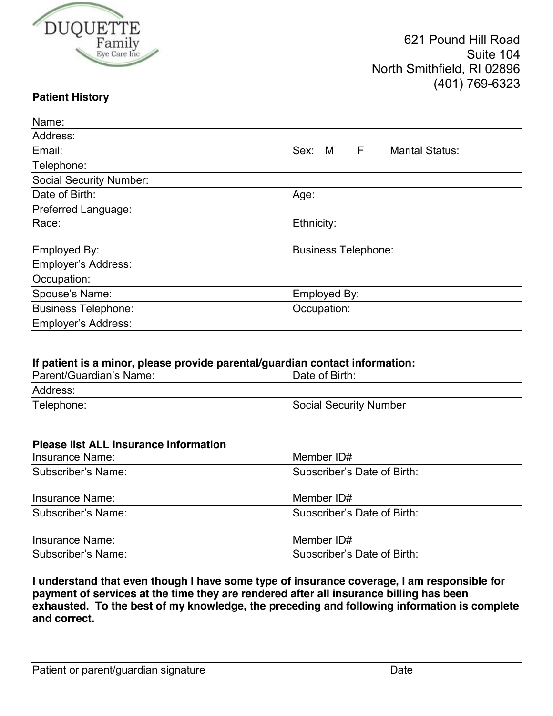

## **Patient History**

| Name:                                                                        |                                          |  |  |  |
|------------------------------------------------------------------------------|------------------------------------------|--|--|--|
| Address:                                                                     |                                          |  |  |  |
| Email:                                                                       | F<br>Sex:<br><b>Marital Status:</b><br>M |  |  |  |
| Telephone:                                                                   |                                          |  |  |  |
| <b>Social Security Number:</b>                                               |                                          |  |  |  |
| Date of Birth:                                                               | Age:                                     |  |  |  |
| Preferred Language:                                                          |                                          |  |  |  |
| Race:                                                                        | Ethnicity:                               |  |  |  |
| Employed By:                                                                 | <b>Business Telephone:</b>               |  |  |  |
| Employer's Address:                                                          |                                          |  |  |  |
| Occupation:                                                                  |                                          |  |  |  |
| Spouse's Name:                                                               | Employed By:                             |  |  |  |
| <b>Business Telephone:</b>                                                   | Occupation:                              |  |  |  |
| Employer's Address:                                                          |                                          |  |  |  |
|                                                                              |                                          |  |  |  |
| If patient is a minor, please provide parental/guardian contact information: |                                          |  |  |  |
| Parent/Guardian's Name:                                                      | Date of Birth:                           |  |  |  |
| Address:                                                                     |                                          |  |  |  |
| Telephone:                                                                   | <b>Social Security Number</b>            |  |  |  |
|                                                                              |                                          |  |  |  |

| <b>Please list ALL insurance information</b> |                             |  |
|----------------------------------------------|-----------------------------|--|
| Insurance Name:                              | Member ID#                  |  |
| Subscriber's Name:                           | Subscriber's Date of Birth: |  |
| Insurance Name:                              | Member ID#                  |  |
| Subscriber's Name:                           | Subscriber's Date of Birth: |  |
| Insurance Name:                              | Member ID#                  |  |
| Subscriber's Name:                           | Subscriber's Date of Birth: |  |

**I understand that even though I have some type of insurance coverage, I am responsible for payment of services at the time they are rendered after all insurance billing has been exhausted. To the best of my knowledge, the preceding and following information is complete and correct.**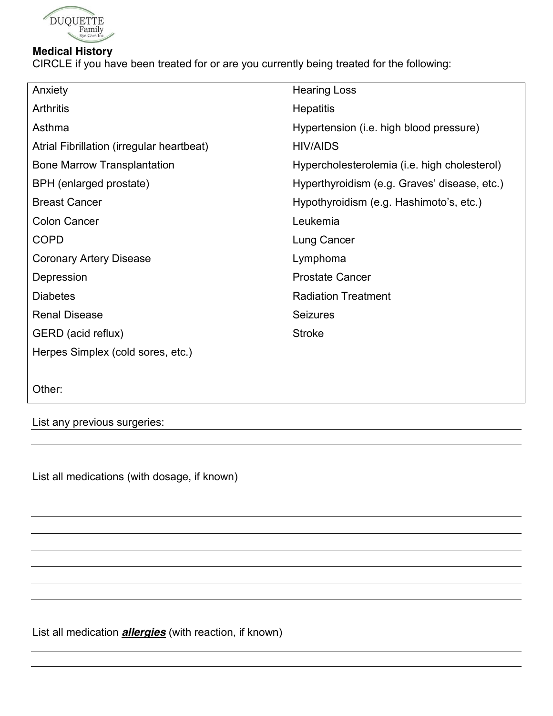

## **Medical History**

CIRCLE if you have been treated for or are you currently being treated for the following:

| Anxiety                                   | <b>Hearing Loss</b>                          |
|-------------------------------------------|----------------------------------------------|
| <b>Arthritis</b>                          | <b>Hepatitis</b>                             |
| Asthma                                    | Hypertension (i.e. high blood pressure)      |
| Atrial Fibrillation (irregular heartbeat) | <b>HIV/AIDS</b>                              |
| <b>Bone Marrow Transplantation</b>        | Hypercholesterolemia (i.e. high cholesterol) |
| BPH (enlarged prostate)                   | Hyperthyroidism (e.g. Graves' disease, etc.) |
| <b>Breast Cancer</b>                      | Hypothyroidism (e.g. Hashimoto's, etc.)      |
| <b>Colon Cancer</b>                       | Leukemia                                     |
| <b>COPD</b>                               | Lung Cancer                                  |
| <b>Coronary Artery Disease</b>            | Lymphoma                                     |
| Depression                                | <b>Prostate Cancer</b>                       |
| <b>Diabetes</b>                           | <b>Radiation Treatment</b>                   |
| <b>Renal Disease</b>                      | <b>Seizures</b>                              |
| GERD (acid reflux)                        | <b>Stroke</b>                                |
| Herpes Simplex (cold sores, etc.)         |                                              |
|                                           |                                              |

Other:

List any previous surgeries:

List all medications (with dosage, if known)

List all medication *allergies* (with reaction, if known)